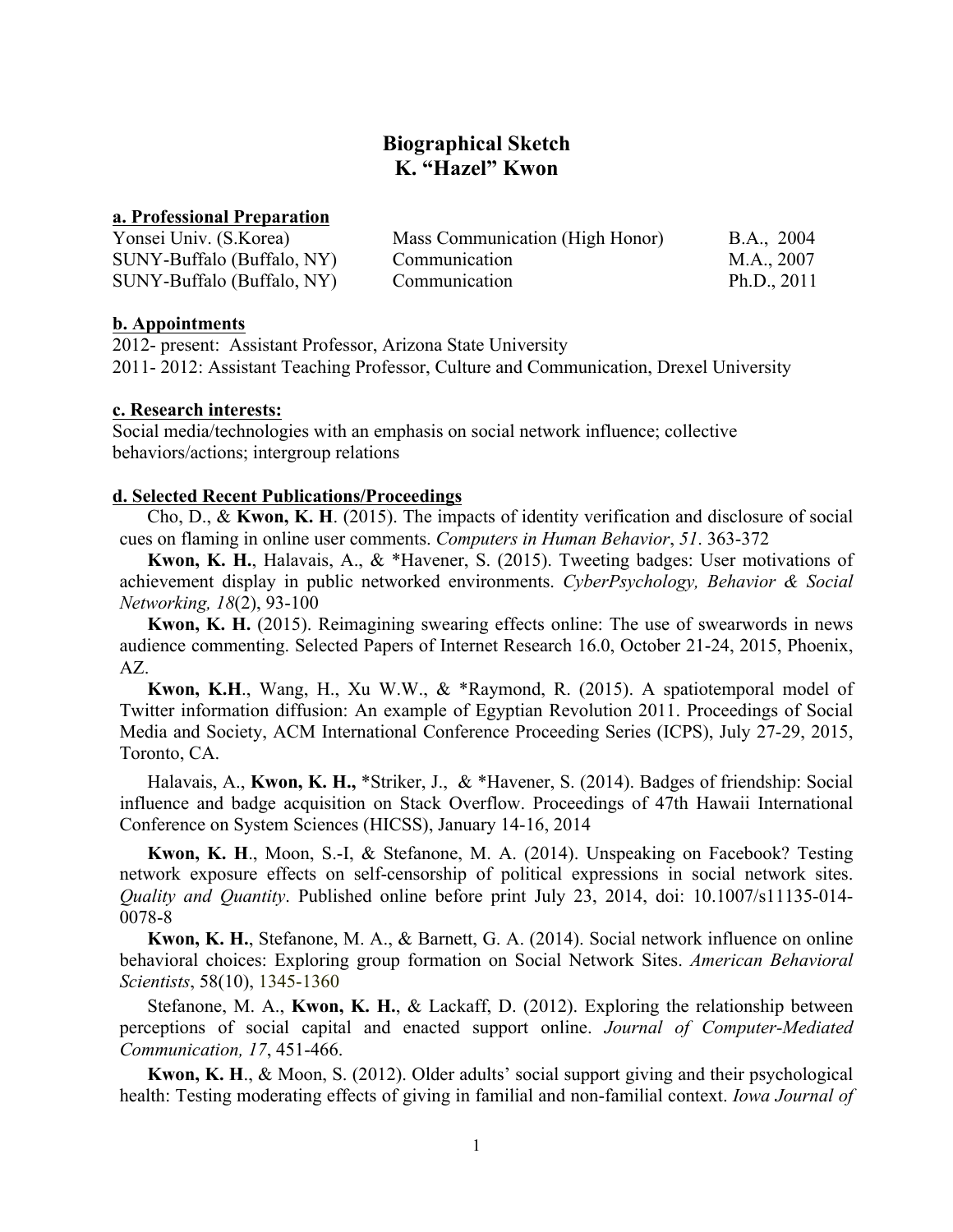# **Biographical Sketch K. "Hazel" Kwon**

## **a. Professional Preparation**

| Yonsei Univ. (S.Korea)     | Mass Communication (High Honor) | B.A., 2004    |  |
|----------------------------|---------------------------------|---------------|--|
| SUNY-Buffalo (Buffalo, NY) | Communication                   | M.A., 2007    |  |
| SUNY-Buffalo (Buffalo, NY) | Communication                   | Ph.D., $2011$ |  |

### **b. Appointments**

2012- present: Assistant Professor, Arizona State University 2011- 2012: Assistant Teaching Professor, Culture and Communication, Drexel University

### **c. Research interests:**

Social media/technologies with an emphasis on social network influence; collective behaviors/actions; intergroup relations

## **d. Selected Recent Publications/Proceedings**

Cho, D., & **Kwon, K. H**. (2015). The impacts of identity verification and disclosure of social cues on flaming in online user comments. *Computers in Human Behavior*, *51*. 363-372

**Kwon, K. H.**, Halavais, A., & \*Havener, S. (2015). Tweeting badges: User motivations of achievement display in public networked environments. *CyberPsychology, Behavior & Social Networking, 18*(2), 93-100

**Kwon, K. H.** (2015). Reimagining swearing effects online: The use of swearwords in news audience commenting. Selected Papers of Internet Research 16.0, October 21-24, 2015, Phoenix, AZ.

**Kwon, K.H**., Wang, H., Xu W.W., & \*Raymond, R. (2015). A spatiotemporal model of Twitter information diffusion: An example of Egyptian Revolution 2011. Proceedings of Social Media and Society, ACM International Conference Proceeding Series (ICPS), July 27-29, 2015, Toronto, CA.

Halavais, A., **Kwon, K. H.,** \*Striker, J., & \*Havener, S. (2014). Badges of friendship: Social influence and badge acquisition on Stack Overflow. Proceedings of 47th Hawaii International Conference on System Sciences (HICSS), January 14-16, 2014

**Kwon, K. H**., Moon, S.-I, & Stefanone, M. A. (2014). Unspeaking on Facebook? Testing network exposure effects on self-censorship of political expressions in social network sites. *Quality and Quantity*. Published online before print July 23, 2014, doi: 10.1007/s11135-014- 0078-8

**Kwon, K. H.**, Stefanone, M. A., & Barnett, G. A. (2014). Social network influence on online behavioral choices: Exploring group formation on Social Network Sites. *American Behavioral Scientists*, 58(10), 1345-1360

Stefanone, M. A., **Kwon, K. H.**, & Lackaff, D. (2012). Exploring the relationship between perceptions of social capital and enacted support online. *Journal of Computer-Mediated Communication, 17*, 451-466.

**Kwon, K. H**., & Moon, S. (2012). Older adults' social support giving and their psychological health: Testing moderating effects of giving in familial and non-familial context. *Iowa Journal of*